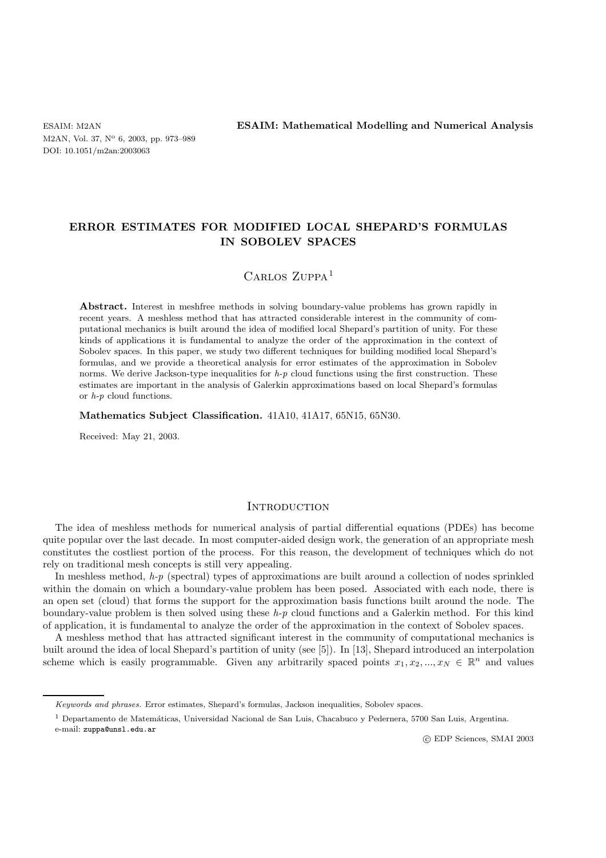M2AN, Vol. 37, N° 6, 2003, pp. 973–989 DOI: 10.1051/m2an:2003063

ESAIM: M2AN **ESAIM: Mathematical Modelling and Numerical Analysis**

# **ERROR ESTIMATES FOR MODIFIED LOCAL SHEPARD'S FORMULAS IN SOBOLEV SPACES**

# Carlos Zuppa<sup>1</sup>

**Abstract.** Interest in meshfree methods in solving boundary-value problems has grown rapidly in recent years. A meshless method that has attracted considerable interest in the community of computational mechanics is built around the idea of modified local Shepard's partition of unity. For these kinds of applications it is fundamental to analyze the order of the approximation in the context of Sobolev spaces. In this paper, we study two different techniques for building modified local Shepard's formulas, and we provide a theoretical analysis for error estimates of the approximation in Sobolev norms. We derive Jackson-type inequalities for  $h-p$  cloud functions using the first construction. These estimates are important in the analysis of Galerkin approximations based on local Shepard's formulas or h-p cloud functions.

**Mathematics Subject Classification.** 41A10, 41A17, 65N15, 65N30.

Received: May 21, 2003.

# **INTRODUCTION**

The idea of meshless methods for numerical analysis of partial differential equations (PDEs) has become quite popular over the last decade. In most computer-aided design work, the generation of an appropriate mesh constitutes the costliest portion of the process. For this reason, the development of techniques which do not rely on traditional mesh concepts is still very appealing.

In meshless method, *h-p* (spectral) types of approximations are built around a collection of nodes sprinkled within the domain on which a boundary-value problem has been posed. Associated with each node, there is an open set (cloud) that forms the support for the approximation basis functions built around the node. The boundary-value problem is then solved using these *h-p* cloud functions and a Galerkin method. For this kind of application, it is fundamental to analyze the order of the approximation in the context of Sobolev spaces.

A meshless method that has attracted significant interest in the community of computational mechanics is built around the idea of local Shepard's partition of unity (see [5]). In [13], Shepard introduced an interpolation scheme which is easily programmable. Given any arbitrarily spaced points  $x_1, x_2, ..., x_N \in \mathbb{R}^n$  and values

e-mail: zuppa@unsl.edu.ar

c EDP Sciences, SMAI 2003

Keywords and phrases. Error estimates, Shepard's formulas, Jackson inequalities, Sobolev spaces.

<sup>1</sup> Departamento de Matem´aticas, Universidad Nacional de San Luis, Chacabuco y Pedernera, 5700 San Luis, Argentina.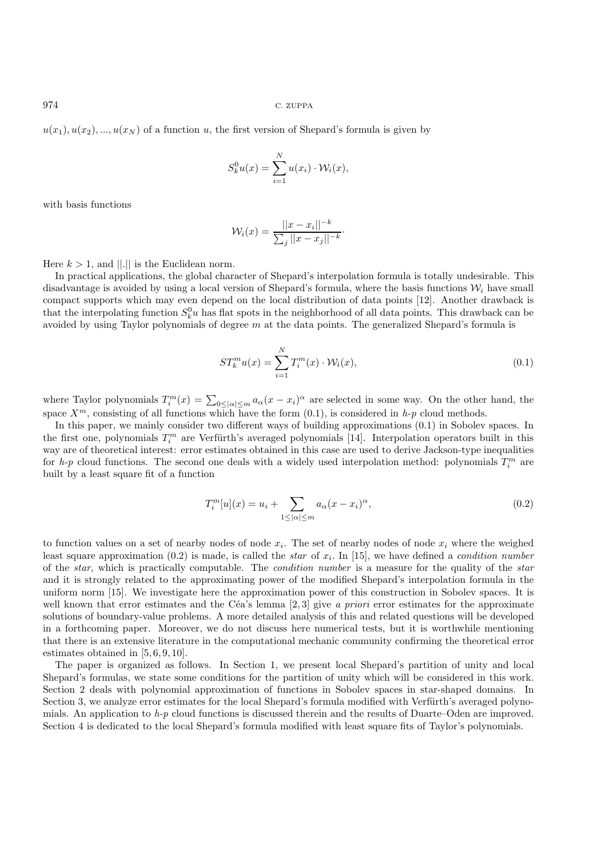$u(x_1), u(x_2), ..., u(x_N)$  of a function u, the first version of Shepard's formula is given by

$$
S_k^0 u(x) = \sum_{i=1}^N u(x_i) \cdot \mathcal{W}_i(x),
$$

with basis functions

$$
\mathcal{W}_i(x) = \frac{||x - x_i||^{-k}}{\sum_j ||x - x_j||^{-k}}.
$$

Here  $k > 1$ , and ||.|| is the Euclidean norm.

In practical applications, the global character of Shepard's interpolation formula is totally undesirable. This disadvantage is avoided by using a local version of Shepard's formula, where the basis functions  $\mathcal{W}_i$  have small compact supports which may even depend on the local distribution of data points [12]. Another drawback is that the interpolating function  $S_k^0 u$  has flat spots in the neighborhood of all data points. This drawback can be avoided by using Taylor polynomials of degree  $m$  at the data points. The generalized Shepard's formula is

$$
ST_k^m u(x) = \sum_{i=1}^N T_i^m(x) \cdot \mathcal{W}_i(x),\tag{0.1}
$$

where Taylor polynomials  $T_i^m(x) = \sum_{0 \leq |\alpha| \leq m} a_\alpha (x - x_i)^\alpha$  are selected in some way. On the other hand, the space  $X^m$ , consisting of all functions which have the form  $(0.1)$ , is considered in *h-p* cloud methods.

In this paper, we mainly consider two different ways of building approximations (0.1) in Sobolev spaces. In the first one, polynomials  $T_i^m$  are Verfürth's averaged polynomials [14]. Interpolation operators built in this way are of theoretical interest: error estimates obtained in this case are used to derive Jackson-type inequalities for *h-p* cloud functions. The second one deals with a widely used interpolation method: polynomials  $T_i^m$  are built by a least square fit of a function

$$
T_i^m[u](x) = u_i + \sum_{1 \leq |\alpha| \leq m} a_\alpha (x - x_i)^\alpha,
$$
\n(0.2)

to function values on a set of nearby nodes of node  $x_i$ . The set of nearby nodes of node  $x_i$  where the weighed least square approximation  $(0.2)$  is made, is called the *star* of  $x_i$ . In [15], we have defined a *condition number* of the *star,* which is practically computable. The *condition number* is a measure for the quality of the *star* and it is strongly related to the approximating power of the modified Shepard's interpolation formula in the uniform norm [15]. We investigate here the approximation power of this construction in Sobolev spaces. It is well known that error estimates and the Céa's lemma  $[2, 3]$  give *a priori* error estimates for the approximate solutions of boundary-value problems. A more detailed analysis of this and related questions will be developed in a forthcoming paper. Moreover, we do not discuss here numerical tests, but it is worthwhile mentioning that there is an extensive literature in the computational mechanic community confirming the theoretical error estimates obtained in [5, 6, 9, 10].

The paper is organized as follows. In Section 1, we present local Shepard's partition of unity and local Shepard's formulas, we state some conditions for the partition of unity which will be considered in this work. Section 2 deals with polynomial approximation of functions in Sobolev spaces in star-shaped domains. In Section 3, we analyze error estimates for the local Shepard's formula modified with Verfürth's averaged polynomials. An application to *h-p* cloud functions is discussed therein and the results of Duarte–Oden are improved. Section 4 is dedicated to the local Shepard's formula modified with least square fits of Taylor's polynomials.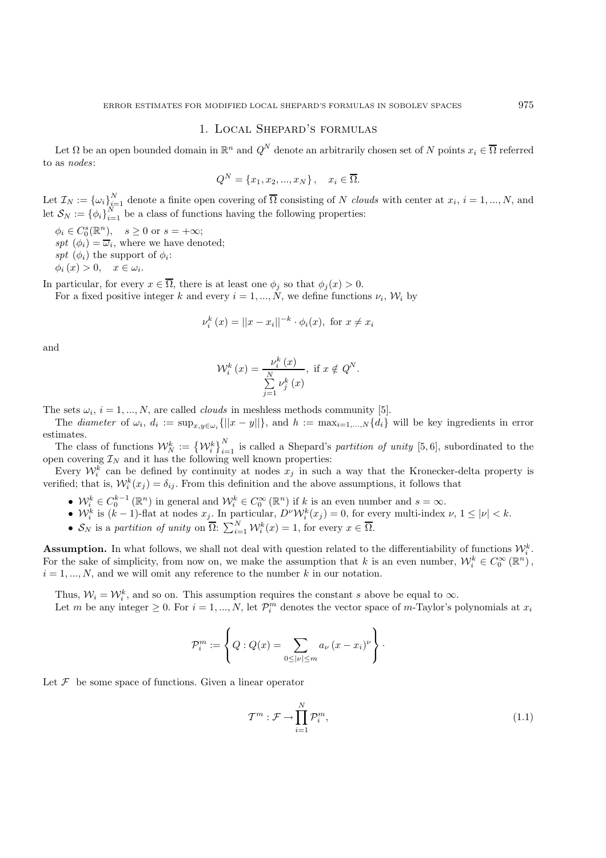# 1. Local Shepard's formulas

Let  $\Omega$  be an open bounded domain in  $\mathbb{R}^n$  and  $Q^N$  denote an arbitrarily chosen set of N points  $x_i \in \overline{\Omega}$  referred to as *nodes*:

$$
Q^N = \{x_1, x_2, ..., x_N\}, \quad x_i \in \overline{\Omega}.
$$

Let  $\mathcal{I}_N := {\omega_i}_{i=1}^N$  denote a finite open covering of  $\overline{\Omega}$  consisting of N *clouds* with center at  $x_i$ ,  $i = 1, ..., N$ , and let  $S_N := {\phi_i}_{i=1}^N$  be a class of functions having the following properties:

 $\phi_i \in C_0^s(\mathbb{R}^n)$ ,  $s \geq 0$  or  $s = +\infty$ ;

*spt*  $(\phi_i) = \overline{\omega}_i$ , where we have denoted;

*spt*  $(\phi_i)$  the support of  $\phi_i$ :

 $\phi_i(x) > 0, \quad x \in \omega_i.$ 

In particular, for every  $x \in \overline{\Omega}$ , there is at least one  $\phi_i$  so that  $\phi_i(x) > 0$ .

For a fixed positive integer k and every  $i = 1, ..., N$ , we define functions  $\nu_i$ ,  $\mathcal{W}_i$  by

$$
\nu_i^k(x) = ||x - x_i||^{-k} \cdot \phi_i(x), \text{ for } x \neq x_i
$$

and

$$
\mathcal{W}_{i}^{k}\left(x\right) = \frac{\nu_{i}^{k}\left(x\right)}{\sum\limits_{j=1}^{N} \nu_{j}^{k}\left(x\right)}, \text{ if } x \notin Q^{N}.
$$

The sets  $\omega_i$ ,  $i = 1, ..., N$ , are called *clouds* in meshless methods community [5].

The *diameter* of  $\omega_i$ ,  $d_i := \sup_{x,y \in \omega_i} \{||x-y||\}$ , and  $h := \max_{i=1,\dots,N} \{d_i\}$  will be key ingredients in error estimates.

The class of functions  $\mathcal{W}_{N}^{k} := \{ \mathcal{W}_{i}^{k} \}_{i=1}^{N}$  is called a Shepard's *partition of unity* [5,6], subordinated to the open covering  $\mathcal{I}_N$  and it has the following well known properties:

Every  $\mathcal{W}_i^k$  can be defined by continuity at nodes  $x_j$  in such a way that the Kronecker-delta property is verified; that is,  $\mathcal{W}_i^k(x_j) = \delta_{ij}$ . From this definition and the above assumptions, it follows that

•  $\mathcal{W}_i^k \in C_0^{k-1}(\mathbb{R}^n)$  in general and  $\mathcal{W}_i^k \in C_0^{\infty}(\mathbb{R}^n)$  if k is an even number and  $s = \infty$ .

•  $\mathcal{W}_i^k$  is  $(k-1)$ -flat at nodes  $x_j$ . In particular,  $D^{\nu} \mathcal{W}_i^k(x_j) = 0$ , for every multi-index  $\nu, 1 \leq |\nu| < k$ .

•  $S_N$  is a *partition of unity* on  $\overline{\Omega}$ :  $\sum_{i=1}^N \mathcal{W}_i^k(x) = 1$ , for every  $x \in \overline{\Omega}$ .

**Assumption.** In what follows, we shall not deal with question related to the differentiability of functions  $\mathcal{W}_i^k$ . For the sake of simplicity, from now on, we make the assumption that k is an even number,  $\mathcal{W}_i^k \in C_0^{\infty}(\mathbb{R}^n)$ ,  $i = 1, ..., N$ , and we will omit any reference to the number k in our notation.

Thus,  $W_i = W_i^k$ , and so on. This assumption requires the constant s above be equal to  $\infty$ .

Let m be any integer  $\geq 0$ . For  $i = 1, ..., N$ , let  $\mathcal{P}_i^m$  denotes the vector space of m-Taylor's polynomials at  $x_i$ 

$$
\mathcal{P}_i^m := \left\{ Q : Q(x) = \sum_{0 \leq |\nu| \leq m} a_{\nu} (x - x_i)^{\nu} \right\}.
$$

Let  $\mathcal F$  be some space of functions. Given a linear operator

$$
\mathcal{T}^m: \mathcal{F} \to \prod_{i=1}^N \mathcal{P}_i^m,\tag{1.1}
$$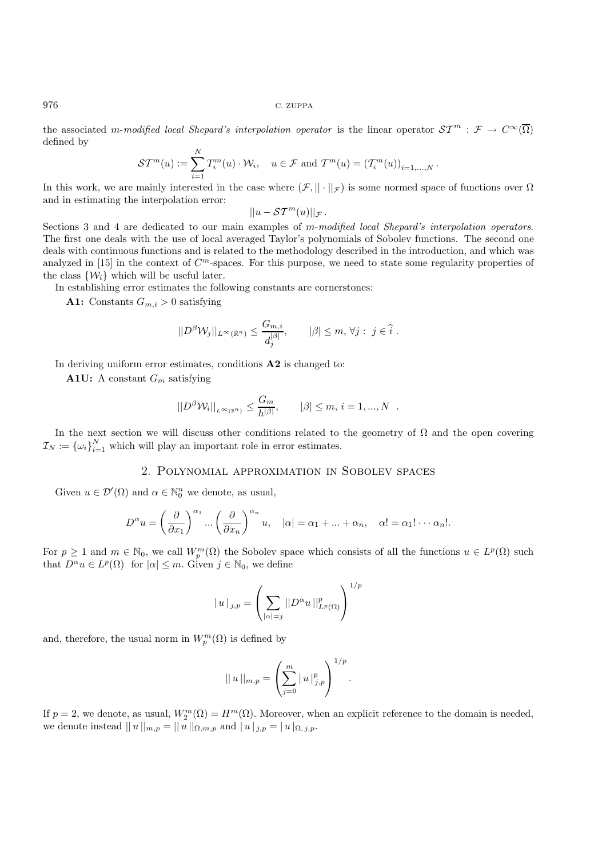the associated m-modified local Shepard's interpolation operator is the linear operator  $ST^m : \mathcal{F} \to C^{\infty}(\overline{\Omega})$ defined by

$$
\mathcal{ST}^m(u) := \sum_{i=1}^N T_i^m(u) \cdot \mathcal{W}_i, \quad u \in \mathcal{F} \text{ and } \mathcal{T}^m(u) = \left(\mathcal{T}_i^m(u)\right)_{i=1,\dots,N}.
$$

In this work, we are mainly interested in the case where  $(\mathcal{F}, ||\cdot||_{\mathcal{F}})$  is some normed space of functions over  $\Omega$ and in estimating the interpolation error:

$$
||u - \mathcal{ST}^m(u)||_{\mathcal{F}}.
$$

Sections 3 and 4 are dedicated to our main examples of m-*modified local Shepard's interpolation operators*. The first one deals with the use of local averaged Taylor's polynomials of Sobolev functions. The second one deals with continuous functions and is related to the methodology described in the introduction, and which was analyzed in [15] in the context of  $C<sup>m</sup>$ -spaces. For this purpose, we need to state some regularity properties of the class  $\{\mathcal{W}_i\}$  which will be useful later.

In establishing error estimates the following constants are cornerstones:

**A1:** Constants  $G_{m,i} > 0$  satisfying

$$
||D^{\beta} \mathcal{W}_j||_{L^{\infty}(\mathbb{R}^n)} \leq \frac{G_{m,i}}{d_j^{|\beta|}}, \qquad |\beta| \leq m, \forall j: j \in \widehat{i} .
$$

In deriving uniform error estimates, conditions **A2** is changed to:

A1U: A constant  $G_m$  satisfying

$$
||D^{\beta} \mathcal{W}_i||_{L^{\infty}(\mathbb{R}^n)} \leq \frac{G_m}{h^{|\beta|}}, \qquad |\beta| \leq m, i = 1, ..., N .
$$

In the next section we will discuss other conditions related to the geometry of  $\Omega$  and the open covering  $\mathcal{I}_N := {\{\omega_i\}}_{i=1}^N$  which will play an important role in error estimates.

# 2. Polynomial approximation in Sobolev spaces

Given  $u \in \mathcal{D}'(\Omega)$  and  $\alpha \in \mathbb{N}_0^n$  we denote, as usual,

$$
D^{\alpha}u = \left(\frac{\partial}{\partial x_1}\right)^{\alpha_1} \dots \left(\frac{\partial}{\partial x_n}\right)^{\alpha_n} u, \quad |\alpha| = \alpha_1 + \dots + \alpha_n, \quad \alpha! = \alpha_1! \dots \alpha_n!.
$$

For  $p \ge 1$  and  $m \in \mathbb{N}_0$ , we call  $W_p^m(\Omega)$  the Sobolev space which consists of all the functions  $u \in L^p(\Omega)$  such that  $D^{\alpha}u \in L^p(\Omega)$  for  $|\alpha| \leq m$ . Given  $j \in \mathbb{N}_0$ , we define

$$
|u|_{j,p} = \left(\sum_{|\alpha|=j} ||D^{\alpha}u||_{L^{p}(\Omega)}^{p}\right)^{1/p}
$$

and, therefore, the usual norm in  $W_p^m(\Omega)$  is defined by

$$
||u||_{m,p} = \left(\sum_{j=0}^m |u|_{j,p}^p\right)^{1/p}.
$$

If  $p=2$ , we denote, as usual,  $W_2^m(\Omega) = H^m(\Omega)$ . Moreover, when an explicit reference to the domain is needed, we denote instead  $|| u ||_{m,p} = || u ||_{\Omega,m,p}$  and  $|| u ||_{j,p} = || u ||_{\Omega,j,p}$ .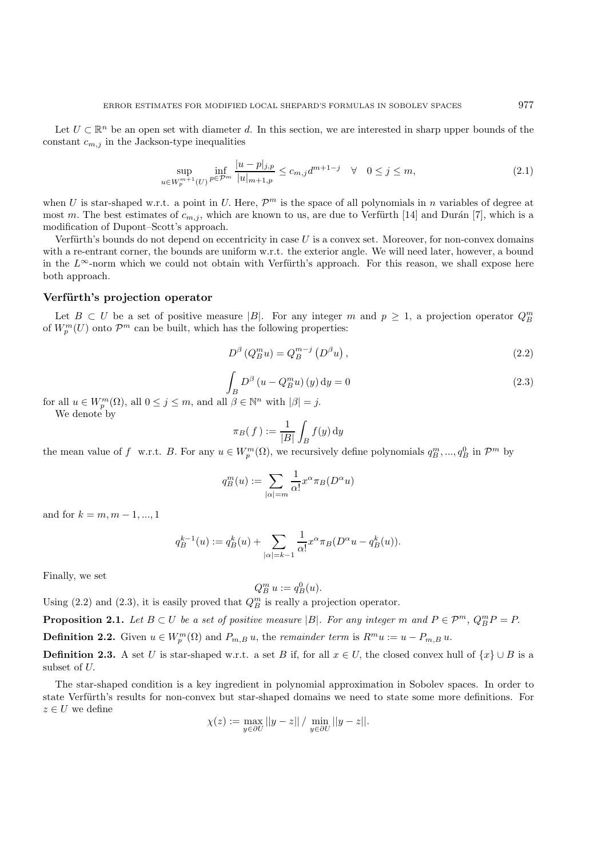Let  $U \subset \mathbb{R}^n$  be an open set with diameter d. In this section, we are interested in sharp upper bounds of the constant  $c_{m,j}$  in the Jackson-type inequalities

$$
\sup_{u \in W_p^{m+1}(U)} \inf_{p \in \mathcal{P}^m} \frac{|u - p|_{j,p}}{|u|_{m+1,p}} \le c_{m,j} d^{m+1-j} \quad \forall \quad 0 \le j \le m,
$$
\n(2.1)

when U is star-shaped w.r.t. a point in U. Here,  $\mathcal{P}^m$  is the space of all polynomials in n variables of degree at most m. The best estimates of  $c_{m,j}$ , which are known to us, are due to Verfürth [14] and Durán [7], which is a modification of Dupont–Scott's approach.

Verfürth's bounds do not depend on eccentricity in case  $U$  is a convex set. Moreover, for non-convex domains with a re-entrant corner, the bounds are uniform w.r.t. the exterior angle. We will need later, however, a bound in the  $L^{\infty}$ -norm which we could not obtain with Verfürth's approach. For this reason, we shall expose here both approach.

# **Verfürth's projection operator**

Let  $B \subset U$  be a set of positive measure |B|. For any integer m and  $p \geq 1$ , a projection operator  $Q_B^m$ of  $W_p^m(U)$  onto  $\mathcal{P}^m$  can be built, which has the following properties:

$$
D^{\beta}\left(Q_{B}^{m}u\right) = Q_{B}^{m-j}\left(D^{\beta}u\right),\tag{2.2}
$$

$$
\int_{B} D^{\beta} \left( u - Q_B^m u \right) \left( y \right) \mathrm{d}y = 0 \tag{2.3}
$$

for all  $u \in W_p^m(\Omega)$ , all  $0 \le j \le m$ , and all  $\beta \in \mathbb{N}^n$  with  $|\beta| = j$ .

We denote by

$$
\pi_B(f) := \frac{1}{|B|} \int_B f(y) \, \mathrm{d}y
$$

the mean value of f w.r.t. B. For any  $u \in W_p^m(\Omega)$ , we recursively define polynomials  $q_B^m, ..., q_B^0$  in  $\mathcal{P}^m$  by

$$
q_B^m(u) := \sum_{|\alpha|=m} \frac{1}{\alpha!} x^{\alpha} \pi_B(D^{\alpha} u)
$$

and for  $k = m, m - 1, ..., 1$ 

$$
q_B^{k-1}(u) := q_B^k(u) + \sum_{|\alpha|=k-1} \frac{1}{\alpha!} x^{\alpha} \pi_B(D^{\alpha} u - q_B^k(u)).
$$

Finally, we set

$$
Q_B^m u := q_B^0(u).
$$

Using (2.2) and (2.3), it is easily proved that  $Q_B^m$  is really a projection operator.

**Proposition 2.1.** *Let*  $B \subset U$  *be a set of positive measure*  $|B|$ *. For any integer* m and  $P \in \mathcal{P}^m$ ,  $Q_B^m P = P$ .

**Definition 2.2.** Given  $u \in W_p^m(\Omega)$  and  $P_{m,B} u$ , the *remainder term* is  $R^m u := u - P_{m,B} u$ .

**Definition 2.3.** A set U is star-shaped w.r.t. a set B if, for all  $x \in U$ , the closed convex hull of  $\{x\} \cup B$  is a subset of U.

The star-shaped condition is a key ingredient in polynomial approximation in Sobolev spaces. In order to state Verfürth's results for non-convex but star-shaped domains we need to state some more definitions. For  $z \in U$  we define

$$
\chi(z) := \max_{y \in \partial U} ||y - z|| / \min_{y \in \partial U} ||y - z||.
$$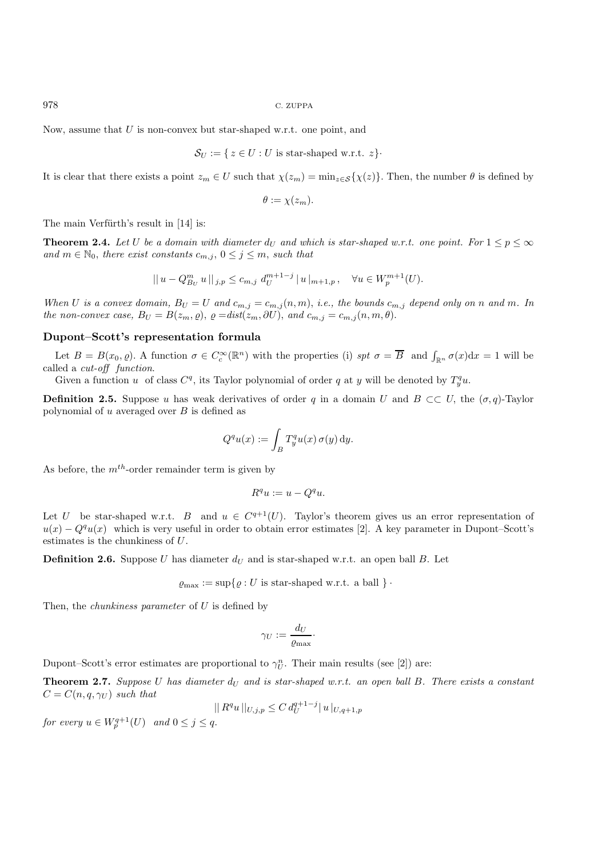Now, assume that U is non-convex but star-shaped w.r.t. one point, and

$$
\mathcal{S}_U := \{ z \in U : U \text{ is star-shaped w.r.t. } z \}.
$$

It is clear that there exists a point  $z_m \in U$  such that  $\chi(z_m) = \min_{z \in S} {\chi(z)}$ . Then, the number  $\theta$  is defined by

$$
\theta := \chi(z_m).
$$

The main Verfürth's result in [14] is:

**Theorem 2.4.** *Let* U *be a domain with diameter* d<sub>U</sub> and which is star-shaped w.r.t. one point. For  $1 \leq p \leq \infty$ and  $m \in \mathbb{N}_0$ , there exist constants  $c_{m,j}$ ,  $0 \leq j \leq m$ , such that

$$
||u - Q_{B_U}^m u||_{j,p} \le c_{m,j} d_U^{m+1-j} |u|_{m+1,p}, \quad \forall u \in W_p^{m+1}(U).
$$

*When U is a convex domain,*  $B_U = U$  *and*  $c_{m,j} = c_{m,j}(n,m)$ , *i.e., the bounds*  $c_{m,j}$  *depend only on n and m*. In *the non-convex case,*  $B_U = B(z_m, \varrho)$ ,  $\varrho = dist(z_m, \partial U)$ , and  $c_{m,j} = c_{m,j}(n, m, \theta)$ .

#### **Dupont–Scott's representation formula**

Let  $B = B(x_0, \varrho)$ . A function  $\sigma \in C_c^{\infty}(\mathbb{R}^n)$  with the properties (i) spt  $\sigma = \overline{B}$  and  $\int_{\mathbb{R}^n} \sigma(x) dx = 1$  will be called a *cut-off function*.

Given a function u of class  $C<sup>q</sup>$ , its Taylor polynomial of order q at y will be denoted by  $T<sup>q</sup><sub>y</sub>u$ .

**Definition 2.5.** Suppose u has weak derivatives of order q in a domain U and  $B \subset\subset U$ , the  $(\sigma, q)$ -Taylor polynomial of u averaged over B is defined as

$$
Q^q u(x) := \int_B T_y^q u(x) \,\sigma(y) \,dy.
$$

As before, the  $m^{th}$ -order remainder term is given by

$$
R^q u := u - Q^q u.
$$

Let U be star-shaped w.r.t. B and  $u \in C^{q+1}(U)$ . Taylor's theorem gives us an error representation of  $u(x) - Q^q u(x)$  which is very useful in order to obtain error estimates [2]. A key parameter in Dupont–Scott's estimates is the chunkiness of U.

**Definition 2.6.** Suppose U has diameter  $d_U$  and is star-shaped w.r.t. an open ball B. Let

 $\rho_{\text{max}} := \sup\{ \varrho : U \text{ is star-shaped w.r.t. a ball } \}$ .

Then, the *chunkiness parameter* of U is defined by

$$
\gamma_U := \frac{d_U}{\varrho_{\max}}.
$$

Dupont–Scott's error estimates are proportional to  $\gamma_U^n$ . Their main results (see [2]) are:

**Theorem 2.7.** Suppose U has diameter  $d_U$  and is star-shaped w.r.t. an open ball B. There exists a constant  $C = C(n, q, \gamma_U)$  *such that* 

 $|| R^q u ||_{U,j,p} \leq C d_U^{q+1-j} || u ||_{U,q+1,p}$ 

*for every*  $u \in W_p^{q+1}(U)$  *and*  $0 \le j \le q$ .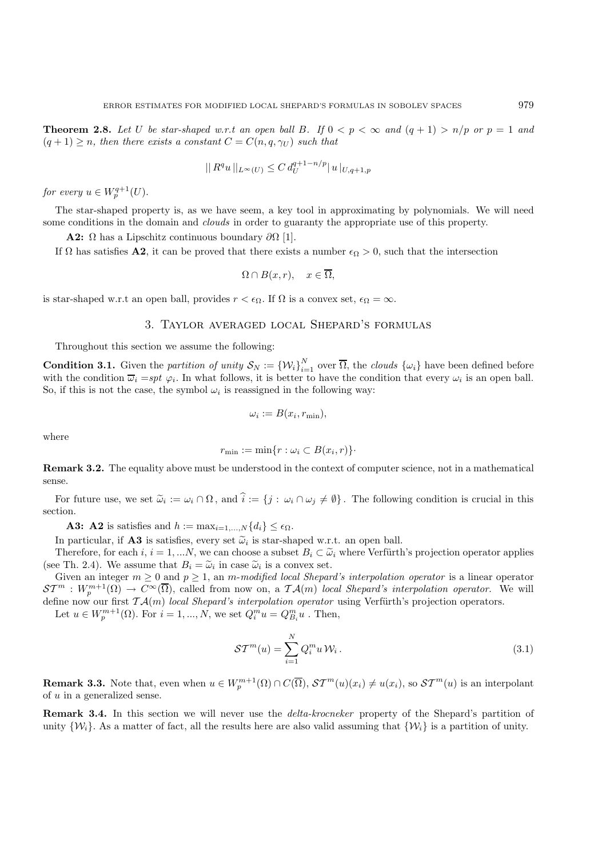**Theorem 2.8.** Let U be star-shaped w.r.t an open ball B. If  $0 < p < \infty$  and  $(q + 1) > n/p$  or  $p = 1$  and  $(q + 1) \geq n$ , then there exists a constant  $C = C(n, q, \gamma_U)$  such that

$$
|| R^{q}u ||_{L^{\infty}(U)} \leq C d_U^{q+1-n/p} || u ||_{U,q+1,p}
$$

*for every*  $u \in W_p^{q+1}(U)$ .

The star-shaped property is, as we have seem, a key tool in approximating by polynomials. We will need some conditions in the domain and *clouds* in order to guaranty the appropriate use of this property.

**A2:** Ω has a Lipschitz continuous boundary ∂Ω [1].

If  $\Omega$  has satisfies **A2**, it can be proved that there exists a number  $\epsilon_{\Omega} > 0$ , such that the intersection

$$
\Omega \cap B(x,r), \quad x \in \overline{\Omega},
$$

is star-shaped w.r.t an open ball, provides  $r < \epsilon_{\Omega}$ . If  $\Omega$  is a convex set,  $\epsilon_{\Omega} = \infty$ .

#### 3. Taylor averaged local Shepard's formulas

Throughout this section we assume the following:

**Condition 3.1.** Given the *partition of unity*  $S_N := \{W_i\}_{i=1}^N$  over  $\overline{\Omega}$ , the *clouds*  $\{\omega_i\}$  have been defined before with the condition  $\overline{\omega}_i = spt \varphi_i$ . In what follows, it is better to have the condition that every  $\omega_i$  is an open ball. So, if this is not the case, the symbol  $\omega_i$  is reassigned in the following way:

$$
\omega_i := B(x_i, r_{\min}),
$$

where

$$
r_{\min} := \min\{r : \omega_i \subset B(x_i, r)\}\cdot
$$

**Remark 3.2.** The equality above must be understood in the context of computer science, not in a mathematical sense.

For future use, we set  $\tilde{\omega}_i := \omega_i \cap \Omega$ , and  $\hat{i} := \{j : \omega_i \cap \omega_j \neq \emptyset\}$ . The following condition is crucial in this section.

**A3: A2** is satisfies and  $h := \max_{i=1,\ldots,N} \{d_i\} \leq \epsilon_{\Omega}$ .

In particular, if **A3** is satisfies, every set  $\tilde{\omega}_i$  is star-shaped w.r.t. an open ball.

Therefore, for each i,  $i = 1,...N$ , we can choose a subset  $B_i \subset \tilde{\omega}_i$  where Verfürth's projection operator applies (see Th. 2.4). We assume that  $B_i = \tilde{\omega}_i$  in case  $\tilde{\omega}_i$  is a convex set.

Given an integer  $m \geq 0$  and  $p \geq 1$ , an m-modified local Shepard's interpolation operator is a linear operator  $ST^m: W_n^{m+1}(\Omega) \to C^{\infty}(\overline{\Omega})$ , called from now on, a  $\mathcal{TA}(m)$  *local Shepard's interpolation operator.* We will define now our first  $\mathcal{TA}(m)$  *local Shepard's interpolation operator* using Verfürth's projection operators.

Let  $u \in W_p^{m+1}(\Omega)$ . For  $i = 1, ..., N$ , we set  $Q_i^m u = Q_{B_i}^m u$ . Then,

$$
\mathcal{ST}^m(u) = \sum_{i=1}^N Q_i^m u \mathcal{W}_i.
$$
\n(3.1)

**Remark 3.3.** Note that, even when  $u \in W_p^{m+1}(\Omega) \cap C(\overline{\Omega})$ ,  $ST^m(u)(x_i) \neq u(x_i)$ , so  $ST^m(u)$  is an interpolant of u in a generalized sense.

**Remark 3.4.** In this section we will never use the *delta-krocneker* property of the Shepard's partition of unity  $\{\mathcal{W}_i\}$ . As a matter of fact, all the results here are also valid assuming that  $\{\mathcal{W}_i\}$  is a partition of unity.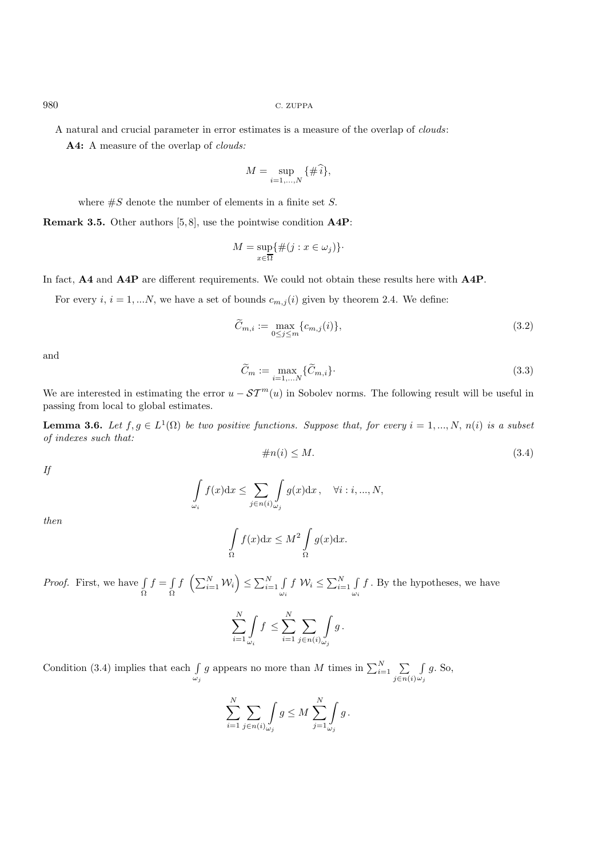A natural and crucial parameter in error estimates is a measure of the overlap of *clouds*:

**A4:** A measure of the overlap of *clouds:*

$$
M = \sup_{i=1,\dots,N} \{ \# \widehat{i} \},
$$

where  $\#S$  denote the number of elements in a finite set S.

**Remark 3.5.** Other authors [5, 8], use the pointwise condition **A4P**:

$$
M = \sup_{x \in \overline{\Omega}} \{ \#(j : x \in \omega_j) \}.
$$

In fact, **A4** and **A4P** are different requirements. We could not obtain these results here with **A4P**.

For every i,  $i = 1, ...N$ , we have a set of bounds  $c_{m,j}(i)$  given by theorem 2.4. We define:

$$
\widetilde{C}_{m,i} := \max_{0 \le j \le m} \{c_{m,j}(i)\},\tag{3.2}
$$

and

$$
\widetilde{C}_m := \max_{i=1,\dots,N} \{\widetilde{C}_{m,i}\}.
$$
\n(3.3)

We are interested in estimating the error  $u - ST<sup>m</sup>(u)$  in Sobolev norms. The following result will be useful in passing from local to global estimates.

**Lemma 3.6.** *Let*  $f, g \in L^1(\Omega)$  *be two positive functions. Suppose that, for every*  $i = 1, ..., N$ ,  $n(i)$  *is a subset of indexes such that:*

$$
\#n(i) \le M. \tag{3.4}
$$

*If*

$$
\int_{\omega_i} f(x) dx \le \sum_{j \in n(i)} \int_{\omega_j} g(x) dx, \quad \forall i : i, ..., N,
$$

*then*

$$
\int_{\Omega} f(x) dx \leq M^2 \int_{\Omega} g(x) dx.
$$

*Proof.* First, we have  $\int$ Ω  $f = \int$ Ω  $f\left(\sum_{i=1}^N \mathcal{W}_i\right) \leq \sum_{i=1}^N \int_{\omega_i}$  $f \mathcal{W}_i \leq \sum_{i=1}^N \int_{\omega_i}$  $f$ . By the hypotheses, we have

$$
\sum_{i=1}^N \int\limits_{\omega_i} f \leq \sum_{i=1}^N \sum_{j \in n(i) \omega_j} \int\limits_{\omega_j} g \, .
$$

Condition  $(3.4)$  implies that each  $\int$  $\omega_j$ g appears no more than M times in  $\sum_{i=1}^{N} \sum_{j=1}^{N}$  $j\in n(i)$ R  $\omega_j$ g. So,

$$
\sum_{i=1}^N \sum_{j \in n(i)_{\omega_j}} \int\limits_{\mathcal{G}} g \leq M \, \sum_{j=1}^N \int\limits_{\omega_j} g \, .
$$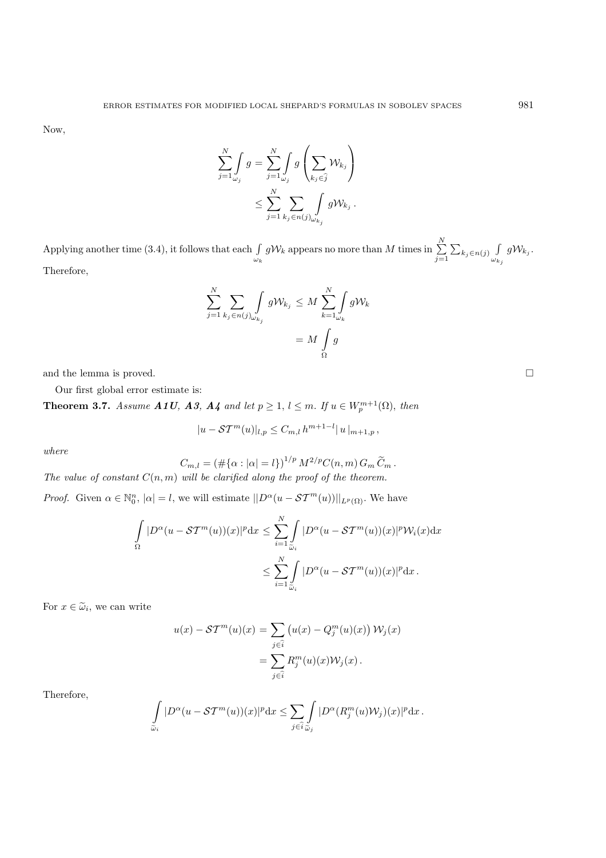Now,

$$
\sum_{j=1}^{N} \int_{\omega_j} g = \sum_{j=1}^{N} \int_{\omega_j} g \left( \sum_{k_j \in \widehat{j}} \mathcal{W}_{k_j} \right)
$$
  

$$
\leq \sum_{j=1}^{N} \sum_{k_j \in n(j) \cup_{k_j}} \int_{\omega_{k_j}} g \mathcal{W}_{k_j}.
$$

Applying another time  $(3.4)$ , it follows that each  $\int$  $\omega_k$  $g \mathcal{W}_k$  appears no more than  $M$  times in  $\sum^N$  $j=1$  $\sum_{k_j\in n(j)}$  $\omega_{k_j}$  $g\mathcal{W}_{k_j}$  . Therefore,

$$
\sum_{j=1}^{N} \sum_{k_j \in n(j)_{\omega_{k_j}}} \int g \mathcal{W}_{k_j} \leq M \sum_{k=1}^{N} \int_{\omega_k} g \mathcal{W}_k
$$

$$
= M \int_{\Omega} g
$$

and the lemma is proved.  $\square$ 

Our first global error estimate is:

**Theorem 3.7.** *Assume A1U*, *A3*, *A4* and let  $p \geq 1$ ,  $l \leq m$ . If  $u \in W_p^{m+1}(\Omega)$ , then

$$
|u - ST^m(u)|_{l,p} \leq C_{m,l} h^{m+1-l} |u|_{m+1,p},
$$

*where*

$$
C_{m,l} = (\# {\alpha : |\alpha| = l})^{1/p} M^{2/p} C(n,m) G_m \widetilde{C}_m .
$$

*The value of constant*  $C(n, m)$  *will be clarified along the proof of the theorem. Proof.* Given  $\alpha \in \mathbb{N}_0^n$ ,  $|\alpha| = l$ , we will estimate  $||D^{\alpha}(u - \mathcal{ST}^m(u))||_{L^p(\Omega)}$ . We have

$$
\int_{\Omega} |D^{\alpha}(u - \mathcal{ST}^m(u))(x)|^p dx \leq \sum_{i=1}^N \int_{\widetilde{\omega}_i} |D^{\alpha}(u - \mathcal{ST}^m(u))(x)|^p \mathcal{W}_i(x) dx
$$
  

$$
\leq \sum_{i=1}^N \int_{\widetilde{\omega}_i} |D^{\alpha}(u - \mathcal{ST}^m(u))(x)|^p dx.
$$

For  $x \in \tilde{\omega}_i$ , we can write

$$
u(x) - \mathcal{ST}^m(u)(x) = \sum_{j \in \hat{i}} \left( u(x) - Q_j^m(u)(x) \right) \mathcal{W}_j(x)
$$

$$
= \sum_{j \in \hat{i}} R_j^m(u)(x) \mathcal{W}_j(x).
$$

Therefore,

$$
\int\limits_{\widetilde{\omega}_i} |D^{\alpha}(u - \mathcal{ST}^m(u))(x)|^p \mathrm{d}x \leq \sum_{j \in \widehat{i} \widetilde{\omega}_j} \int |D^{\alpha}(R_j^m(u)\mathcal{W}_j)(x)|^p \mathrm{d}x.
$$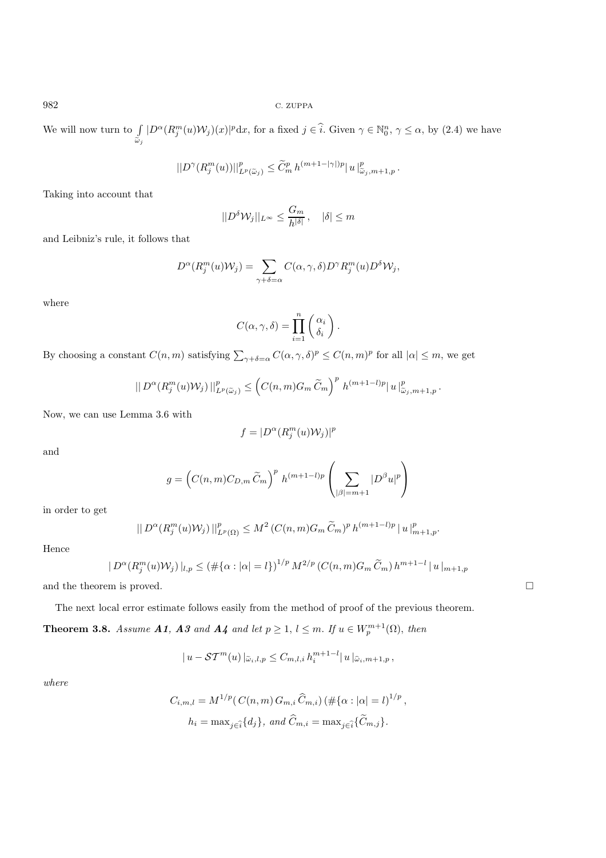We will now turn to  $\int$  $\tilde\omega_j$  $|D^{\alpha}(R_j^m(u)\mathcal{W}_j)(x)|^p dx$ , for a fixed  $j \in \hat{i}$ . Given  $\gamma \in \mathbb{N}_0^n$ ,  $\gamma \leq \alpha$ , by (2.4) we have

$$
||D^\gamma(R_j^m(u))||^p_{L^p(\widetilde{\omega}_j)}\leq \widetilde{C}_m^p\,h^{(m+1-|\gamma|)p}|\,u\,|_{\widetilde{\omega}_j,m+1,p}^p\,.
$$

Taking into account that

$$
||D^{\delta} \mathcal{W}_j||_{L^{\infty}} \le \frac{G_m}{h^{|\delta|}}, \quad |\delta| \le m
$$

and Leibniz's rule, it follows that

$$
D^{\alpha}(R_j^m(u)\mathcal{W}_j) = \sum_{\gamma+\delta=\alpha} C(\alpha,\gamma,\delta) D^{\gamma} R_j^m(u) D^{\delta} \mathcal{W}_j,
$$

where

$$
C(\alpha, \gamma, \delta) = \prod_{i=1}^{n} \begin{pmatrix} \alpha_i \\ \delta_i \end{pmatrix}.
$$

By choosing a constant  $C(n, m)$  satisfying  $\sum_{\gamma+\delta=\alpha} C(\alpha, \gamma, \delta)^p \leq C(n, m)^p$  for all  $|\alpha| \leq m$ , we get

$$
|| D^{\alpha}(R_j^m(u)\mathcal{W}_j) ||_{L^p(\widetilde{\omega}_j)}^p \le \left( C(n,m)G_m \widetilde{C}_m \right)^p h^{(m+1-l)p} ||u||_{\widetilde{\omega}_j,m+1,p}^p.
$$

Now, we can use Lemma 3.6 with

$$
f = |D^{\alpha}(R_j^m(u)\mathcal{W}_j)|^p
$$

and

$$
g = \left(C(n, m)C_{D,m} \widetilde{C}_m\right)^p h^{(m+1-l)p} \left(\sum_{|\beta|=m+1} |D^{\beta} u|^p\right)
$$

in order to get

$$
|| D^{\alpha}(R_j^m(u)\mathcal{W}_j) ||_{L^p(\Omega)}^p \leq M^2 (C(n,m)G_m \widetilde{C}_m)^p h^{(m+1-l)p} ||u||_{m+1,p}^p.
$$

Hence

$$
|D^{\alpha}(R_j^m(u)\mathcal{W}_j)|_{l,p} \leq (\#\{\alpha : |\alpha| = l\})^{1/p} M^{2/p} (C(n,m)G_m \widetilde{C}_m) h^{m+1-l} |u|_{m+1,p}
$$

and the theorem is proved.  $\square$ 

The next local error estimate follows easily from the method of proof of the previous theorem. **Theorem 3.8.** *Assume A1*, *A3 and <i>A4 and let*  $p \ge 1$ ,  $l \le m$ . *If*  $u \in W_p^{m+1}(\Omega)$ , *then* 

$$
|u-\mathcal{ST}^m(u)|_{\widetilde{\omega}_i,l,p}\leq C_{m,l,i}h_i^{m+1-l}|u|_{\widetilde{\omega}_i,m+1,p},
$$

*where*

$$
C_{i,m,l} = M^{1/p}(C(n,m) G_{m,i} \hat{C}_{m,i}) (\# {\alpha : |\alpha| = l})^{1/p},
$$
  

$$
h_i = \max_{j \in \hat{i}} \{d_j\}, \text{ and } \hat{C}_{m,i} = \max_{j \in \hat{i}} \{\tilde{C}_{m,j}\}.
$$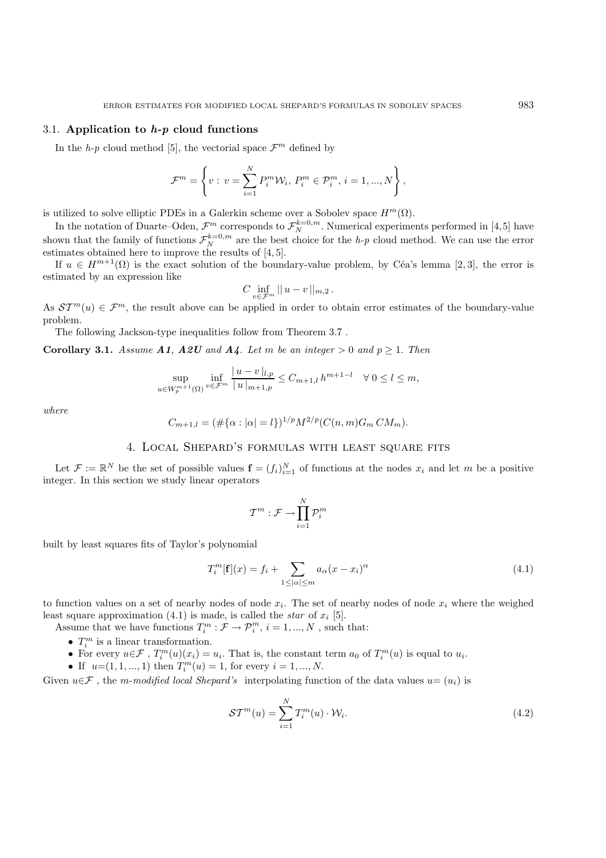# 3.1. **Application to** *h-p* **cloud functions**

In the *h-p* cloud method [5], the vectorial space  $\mathcal{F}^m$  defined by

$$
\mathcal{F}^m = \left\{ v : v = \sum_{i=1}^N P_i^m \mathcal{W}_i, P_i^m \in \mathcal{P}_i^m, i = 1, ..., N \right\},\
$$

is utilized to solve elliptic PDEs in a Galerkin scheme over a Sobolev space  $H^m(\Omega)$ .

In the notation of Duarte–Oden,  $\mathcal{F}_m^m$  corresponds to  $\mathcal{F}_N^{k=0,m}$ . Numerical experiments performed in [4,5] have shown that the family of functions  $\mathcal{F}_{N}^{k=0,m}$  are the best choice for the *h-p* cloud method. We can use the error estimates obtained here to improve the results of [4, 5].

If  $u \in H^{m+1}(\Omega)$  is the exact solution of the boundary-value problem, by Céa's lemma [2, 3], the error is estimated by an expression like

$$
C\inf_{v\in\mathcal{F}^m}||u-v||_{m,2}.
$$

As  $ST^{m}(u) \in \mathcal{F}^{m}$ , the result above can be applied in order to obtain error estimates of the boundary-value problem.

The following Jackson-type inequalities follow from Theorem 3.7 .

**Corollary 3.1.** *Assume A1,**A2U**and**A4. Let**m**be an integer* **> 0** *and* $p \ge 1$ *. Then* 

$$
\sup_{u \in W_p^{m+1}(\Omega)} \inf_{v \in \mathcal{F}^m} \frac{|u - v|_{l,p}}{|u|_{m+1,p}} \le C_{m+1,l} h^{m+1-l} \quad \forall \ 0 \le l \le m,
$$

*where*

$$
C_{m+1,l} = (\# {\alpha : |\alpha| = l})^{1/p} M^{2/p} (C(n,m)G_m CM_m).
$$

#### 4. Local Shepard's formulas with least square fits

Let  $\mathcal{F} := \mathbb{R}^N$  be the set of possible values  $\mathbf{f} = (f_i)_{i=1}^N$  of functions at the nodes  $x_i$  and let m be a positive integer. In this section we study linear operators

$$
\mathcal{T}^m: \mathcal{F} \rightarrow \prod_{i=1}^N \mathcal{P}_i^m
$$

built by least squares fits of Taylor's polynomial

$$
T_i^m[\mathbf{f}](x) = f_i + \sum_{1 \leq |\alpha| \leq m} a_\alpha (x - x_i)^\alpha \tag{4.1}
$$

to function values on a set of nearby nodes of node  $x_i$ . The set of nearby nodes of node  $x_i$  where the weighed least square approximation  $(4.1)$  is made, is called the *star* of  $x_i$  [5].

Assume that we have functions  $T_i^m : \mathcal{F} \to \mathcal{P}_i^m, \, i=1,...,N$  , such that:

- $T_i^m$  is a linear transformation.
- For every  $u \in \mathcal{F}$ ,  $T_i^m(u)(x_i) = u_i$ . That is, the constant term  $a_0$  of  $T_i^m(u)$  is equal to  $u_i$ .
- If  $u=(1, 1, ..., 1)$  then  $T_i^m(u)=1$ , for every  $i=1, ..., N$ .

Given  $u \in \mathcal{F}$ , the *m-modified local Shepard's* interpolating function of the data values  $u = (u_i)$  is

$$
\mathcal{ST}^m(u) = \sum_{i=1}^N T_i^m(u) \cdot \mathcal{W}_i.
$$
\n(4.2)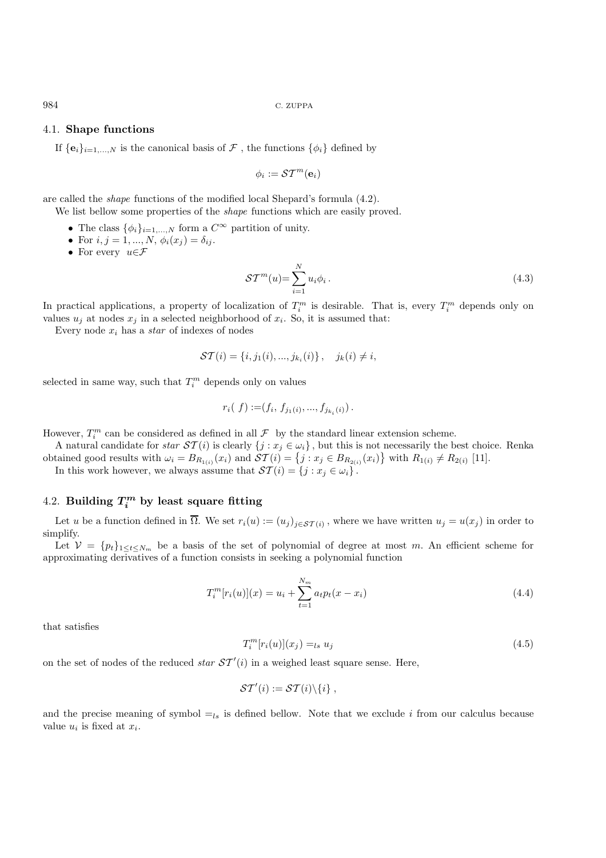# 4.1. **Shape functions**

If  ${\bf e}_i\}_{i=1,...,N}$  is the canonical basis of  $\cal F$ , the functions  $\{\phi_i\}$  defined by

$$
\phi_i := \mathcal{ST}^m(\mathbf{e}_i)
$$

are called the *shape* functions of the modified local Shepard's formula (4.2). We list bellow some properties of the *shape* functions which are easily proved.

- The class  $\{\phi_i\}_{i=1,\dots,N}$  form a  $C^{\infty}$  partition of unity.
- For  $i, j = 1, ..., N, \phi_i(x_j) = \delta_{ij}$ .
- For every  $u \in \mathcal{F}$

$$
\mathcal{ST}^m(u) = \sum_{i=1}^N u_i \phi_i \,. \tag{4.3}
$$

In practical applications, a property of localization of  $T_i^m$  is desirable. That is, every  $T_i^m$  depends only on values  $u_j$  at nodes  $x_j$  in a selected neighborhood of  $x_i$ . So, it is assumed that:

Every node  $x_i$  has a *star* of indexes of nodes

$$
\mathcal{ST}(i) = \{i, j_1(i), ..., j_{k_i}(i)\}, \quad j_k(i) \neq i,
$$

selected in same way, such that  $T_i^m$  depends only on values

$$
r_i([f) := (f_i, f_{j_1(i)}, ..., f_{j_{k_i}(i)}).
$$

However,  $T_i^m$  can be considered as defined in all  $\mathcal F$  by the standard linear extension scheme.

A natural candidate for *star*  $ST(i)$  is clearly  $\{j : x_j \in \omega_i\}$ , but this is not necessarily the best choice. Renka obtained good results with  $\omega_i = B_{R_{1(i)}}(x_i)$  and  $ST(i) = \{j : x_j \in B_{R_{2(i)}}(x_i)\}\$  with  $R_{1(i)} \neq R_{2(i)}$  [11]. In this work however, we always assume that  $ST(i) = \{j : x_j \in \omega_i\}.$ 

# 4.2. Building  $T_i^m$  by least square fitting

Let u be a function defined in  $\overline{\Omega}$ . We set  $r_i(u) := (u_j)_{j \in \mathcal{ST}(i)}$ , where we have written  $u_j = u(x_j)$  in order to simplify.

Let  $V = \{p_t\}_{1 \le t \le N_m}$  be a basis of the set of polynomial of degree at most m. An efficient scheme for approximating derivatives of a function consists in seeking a polynomial function

$$
T_i^m[r_i(u)](x) = u_i + \sum_{t=1}^{N_m} a_t p_t(x - x_i)
$$
\n(4.4)

that satisfies

$$
T_i^m[r_i(u)](x_j) =_{ls} u_j \tag{4.5}
$$

on the set of nodes of the reduced *star*  $ST'(i)$  in a weighed least square sense. Here,

$$
\mathcal{ST}'(i) := \mathcal{ST}(i) \backslash \{i\} ,
$$

and the precise meaning of symbol  $=$ <sub>ls</sub> is defined bellow. Note that we exclude i from our calculus because value  $u_i$  is fixed at  $x_i$ .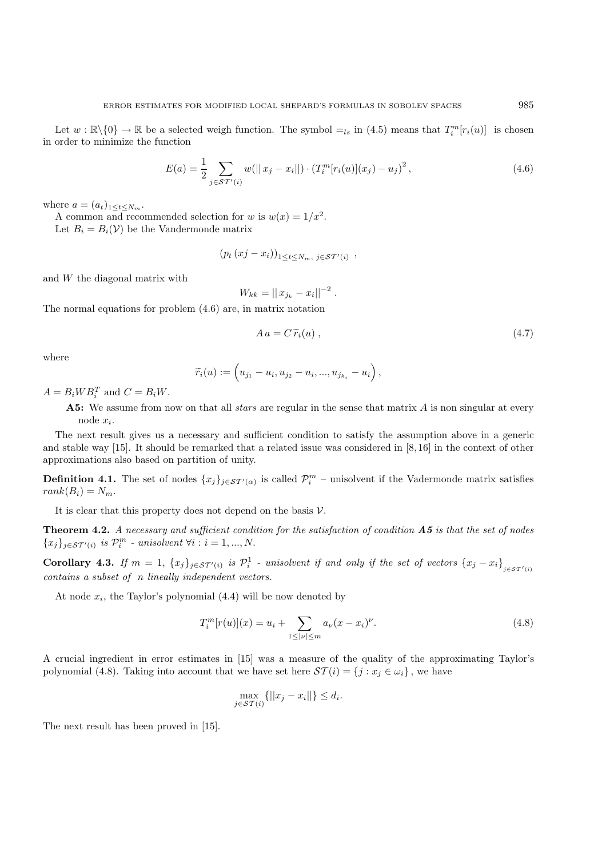$$
E(a) = \frac{1}{2} \sum_{j \in \mathcal{ST}'(i)} w(||x_j - x_i||) \cdot (T_i^m[r_i(u)](x_j) - u_j)^2, \tag{4.6}
$$

where  $a = (a_t)_{1 \leq t \leq N_m}$ .

A common and recommended selection for w is  $w(x)=1/x^2$ .

Let  $B_i = B_i(\mathcal{V})$  be the Vandermonde matrix

$$
(p_t(xj-x_i))_{1\leq t\leq N_m, j\in \mathcal{ST}'(i)},
$$

and W the diagonal matrix with

$$
W_{kk} = || x_{j_k} - x_i ||^{-2} .
$$

The normal equations for problem (4.6) are, in matrix notation

$$
A a = C \widetilde{r}_i(u) , \qquad (4.7)
$$

where

$$
\widetilde{r}_i(u) := \left(u_{j_1} - u_i, u_{j_2} - u_i, ..., u_{j_{k_i}} - u_i\right),\,
$$

 $A = B_i W B_i^T$  and  $C = B_i W$ .

**A5:** We assume from now on that all *stars* are regular in the sense that matrix A is non singular at every node  $x_i$ .

The next result gives us a necessary and sufficient condition to satisfy the assumption above in a generic and stable way [15]. It should be remarked that a related issue was considered in [8, 16] in the context of other approximations also based on partition of unity.

**Definition 4.1.** The set of nodes  $\{x_j\}_{j\in\mathcal{ST}'(\alpha)}$  is called  $\mathcal{P}_i^m$  – unisolvent if the Vadermonde matrix satisfies  $rank(B_i) = N_m$ .

It is clear that this property does not depend on the basis  $V$ .

**Theorem 4.2.** *A necessary and sufficient condition for the satisfaction of condition A5 is that the set of nodes*  ${x_j}_{j \in \mathcal{ST}'(i)}$  *is*  $\mathcal{P}_i^m$  *- unisolvent*  $\forall i : i = 1, ..., N$ .

**Corollary 4.3.** *If*  $m = 1$ ,  $\{x_j\}_{j \in \mathcal{ST}'(i)}$  *is*  $\mathcal{P}_i^1$  *- unisolvent if and only if the set of vectors*  $\{x_j - x_i\}_{j \in \mathcal{ST}'(i)}$ *contains a subset of* n *lineally independent vectors.*

At node  $x_i$ , the Taylor's polynomial  $(4.4)$  will be now denoted by

$$
T_i^m[r(u)](x) = u_i + \sum_{1 \le |\nu| \le m} a_\nu (x - x_i)^\nu.
$$
\n(4.8)

A crucial ingredient in error estimates in [15] was a measure of the quality of the approximating Taylor's polynomial (4.8). Taking into account that we have set here  $\mathcal{ST}(i) = \{j : x_j \in \omega_i\}$ , we have

$$
\max_{j \in \mathcal{ST}(i)} \{ ||x_j - x_i|| \} \le d_i.
$$

The next result has been proved in [15].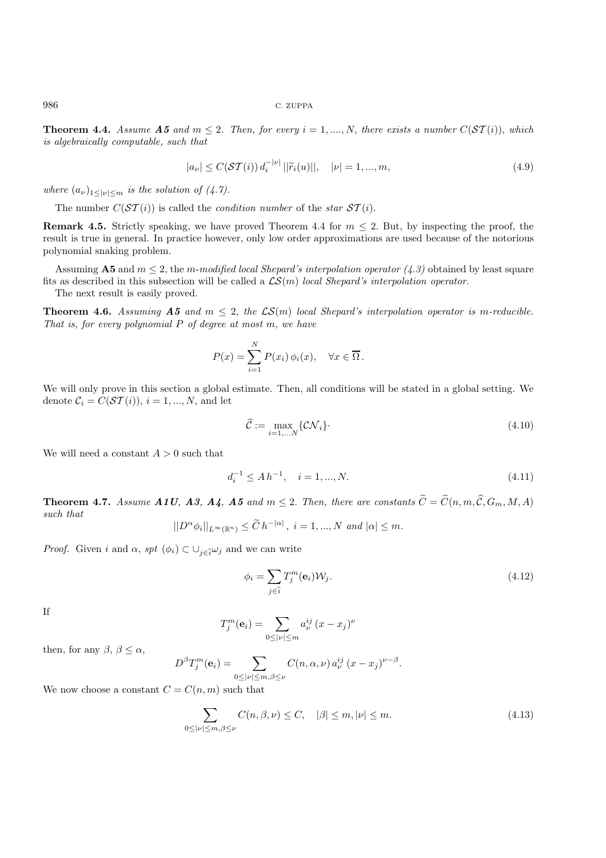**Theorem 4.4.** *Assume* **A5** and  $m \leq 2$ . Then, for every  $i = 1, ..., N$ , there exists a number  $C(\mathcal{ST}(i))$ , which *is algebraically computable, such that*

$$
|a_{\nu}| \le C(\mathcal{ST}(i)) d_i^{-|\nu|} ||\widetilde{r}_i(u)||, \quad |\nu| = 1, ..., m,
$$
\n(4.9)

*where*  $(a_{\nu})_{1 \leq |\nu| \leq m}$  *is the solution of (4.7).* 

The number  $C(\mathcal{ST}(i))$  is called the *condition number* of the *star*  $\mathcal{ST}(i)$ .

**Remark 4.5.** Strictly speaking, we have proved Theorem 4.4 for  $m \leq 2$ . But, by inspecting the proof, the result is true in general. In practice however, only low order approximations are used because of the notorious polynomial snaking problem.

Assuming **A5** and  $m \leq 2$ , the m-modified local Shepard's interpolation operator (4.3) obtained by least square fits as described in this subsection will be called a LS(m) *local Shepard's interpolation operator.*

The next result is easily proved.

**Theorem 4.6.** *Assuming A5 and*  $m \leq 2$ , *the*  $LS(m)$  *local Shepard's interpolation operator is* m-reducible. *That is, for every polynomial* P *of degree at most* m, *we have*

$$
P(x) = \sum_{i=1}^{N} P(x_i) \phi_i(x), \quad \forall x \in \overline{\Omega}.
$$

We will only prove in this section a global estimate. Then, all conditions will be stated in a global setting. We denote  $C_i = C(\mathcal{ST}(i)), i = 1, ..., N$ , and let

$$
\widehat{\mathcal{C}} := \max_{i=1,\dots,N} \{ \mathcal{CN}_i \}.
$$
\n(4.10)

We will need a constant  $A > 0$  such that

$$
d_i^{-1} \le A h^{-1}, \quad i = 1, ..., N. \tag{4.11}
$$

**Theorem 4.7.** *Assume*  $\mathbf{A1U}$ ,  $\mathbf{A3}$ ,  $\mathbf{A4}$ ,  $\mathbf{A5}$  and  $m \leq 2$ . Then, there are constants  $C = C(n, m, \mathcal{C}, G_m, M, A)$ *such that*

$$
||D^{\alpha}\phi_i||_{L^{\infty}(\mathbb{R}^n)} \leq \widetilde{C} h^{-|\alpha|}, i = 1, ..., N \text{ and } |\alpha| \leq m.
$$

*Proof.* Given i and  $\alpha$ , spt  $(\phi_i) \subset \bigcup_{j \in \hat{i}} \omega_j$  and we can write

$$
\phi_i = \sum_{j \in \hat{i}} T_j^m(\mathbf{e}_i) \mathcal{W}_j. \tag{4.12}
$$

If

$$
T_j^m(\mathbf{e}_i) = \sum_{0 \le |\nu| \le m} a_\nu^{ij} (x - x_j)^\nu
$$

then, for any  $\beta$ ,  $\beta \leq \alpha$ ,

$$
D^{\beta}T_j^m(\mathbf{e}_i)=\sum_{0\leq|\nu|\leq m,\beta\leq\nu}C(n,\alpha,\nu)\,a_{\nu}^{ij}\,(x-x_j)^{\nu-\beta}.
$$

We now choose a constant  $C = C(n, m)$  such that

$$
\sum_{0 \le |\nu| \le m, \beta \le \nu} C(n, \beta, \nu) \le C, \quad |\beta| \le m, |\nu| \le m. \tag{4.13}
$$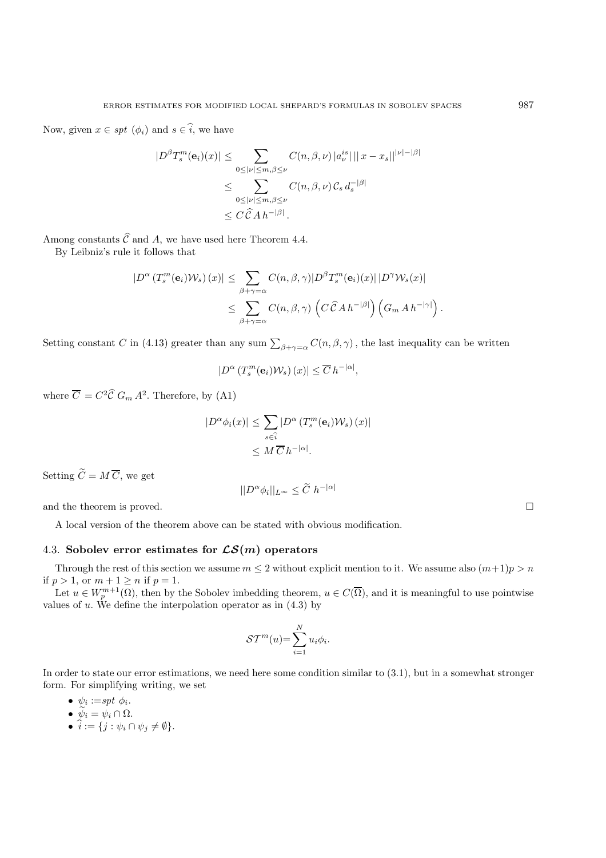Now, given  $x \in spt$  ( $\phi_i$ ) and  $s \in \hat{i}$ , we have

$$
|D^{\beta}T_{s}^{m}(\mathbf{e}_{i})(x)| \leq \sum_{0 \leq |\nu| \leq m, \beta \leq \nu} C(n, \beta, \nu) |a_{\nu}^{is}| ||x - x_{s}||^{|\nu| - |\beta|}
$$
  

$$
\leq \sum_{0 \leq |\nu| \leq m, \beta \leq \nu} C(n, \beta, \nu) C_{s} d_{s}^{-|\beta|}
$$
  

$$
\leq C \widehat{C} A h^{-|\beta|}.
$$

Among constants  $\mathcal C$  and  $\mathcal A$ , we have used here Theorem 4.4.

By Leibniz's rule it follows that

$$
|D^{\alpha}(T_s^m(\mathbf{e}_i)\mathcal{W}_s)(x)| \leq \sum_{\beta+\gamma=\alpha} C(n,\beta,\gamma)|D^{\beta}T_s^m(\mathbf{e}_i)(x)||D^{\gamma}\mathcal{W}_s(x)|
$$
  

$$
\leq \sum_{\beta+\gamma=\alpha} C(n,\beta,\gamma) \left( C \widehat{C} Ah^{-|\beta|} \right) \left( G_m Ah^{-|\gamma|} \right).
$$

Setting constant C in (4.13) greater than any sum  $\sum_{\beta+\gamma=\alpha} C(n,\beta,\gamma)$ , the last inequality can be written

$$
|D^{\alpha}(T_s^m(\mathbf{e}_i)\mathcal{W}_s)(x)| \leq \overline{C} h^{-|\alpha|},
$$

where  $\overline{C} = C^2 \widehat{C} G_m A^2$ . Therefore, by (A1)

$$
|D^{\alpha}\phi_i(x)| \leq \sum_{s \in \hat{i}} |D^{\alpha}(T_s^m(\mathbf{e}_i))\mathcal{W}_s)(x)|
$$
  

$$
\leq M \overline{C} h^{-|\alpha|}.
$$

Setting  $\widetilde{C} = M \overline{C}$ , we get

$$
||D^{\alpha}\phi_i||_{L^{\infty}} \leq \tilde{C} \; h^{-|\alpha|}
$$

and the theorem is proved.  $\Box$ 

A local version of the theorem above can be stated with obvious modification.

# 4.3. **Sobolev error estimates for**  $LS(m)$  **operators**

Through the rest of this section we assume  $m \leq 2$  without explicit mention to it. We assume also  $(m+1)p > n$ if  $p > 1$ , or  $m + 1 \ge n$  if  $p = 1$ .

Let  $u \in W_p^{m+1}(\Omega)$ , then by the Sobolev imbedding theorem,  $u \in C(\overline{\Omega})$ , and it is meaningful to use pointwise values of u. We define the interpolation operator as in  $(4.3)$  by

$$
\mathcal{ST}^m(u) = \sum_{i=1}^N u_i \phi_i.
$$

In order to state our error estimations, we need here some condition similar to (3.1), but in a somewhat stronger form. For simplifying writing, we set

- $\psi_i := spt \phi_i$ .
- $\psi_i = \psi_i \cap \Omega$ .
- $i := \{j : \psi_i \cap \psi_j \neq \emptyset\}.$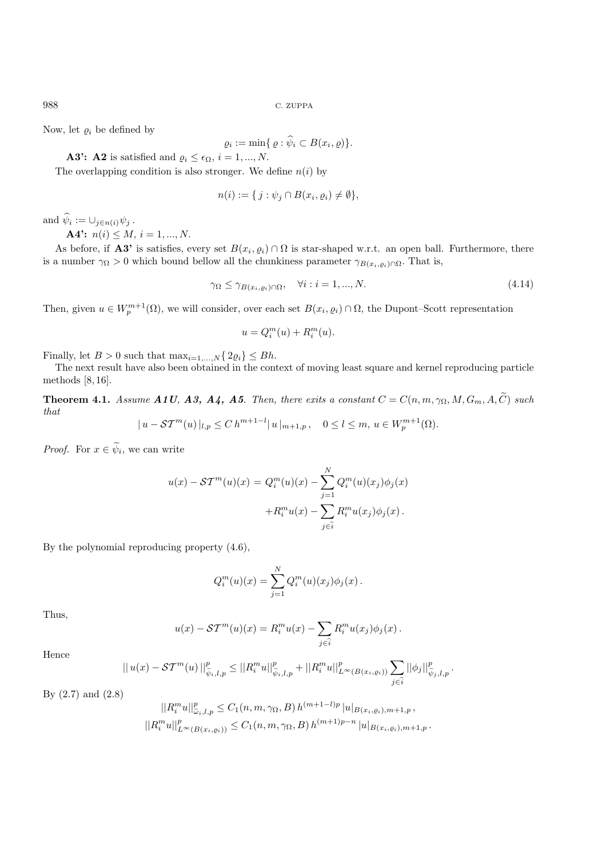Now, let  $\varrho_i$  be defined by

$$
\varrho_i := \min\{ \varrho : \psi_i \subset B(x_i, \varrho) \}.
$$

**A3':** A2 is satisfied and  $\varrho_i \leq \epsilon_{\Omega}$ ,  $i = 1, ..., N$ .

The overlapping condition is also stronger. We define  $n(i)$  by

$$
n(i) := \{ j : \psi_j \cap B(x_i, \varrho_i) \neq \emptyset \},
$$

and  $\widehat{\psi}_i := \cup_{j \in n(i)} \psi_j$ .

**A4':**  $n(i) \leq M, i = 1, ..., N$ .

As before, if **A3'** is satisfies, every set  $B(x_i, \varrho_i) \cap \Omega$  is star-shaped w.r.t. an open ball. Furthermore, there is a number  $\gamma_{\Omega} > 0$  which bound bellow all the chunkiness parameter  $\gamma_{B(x_i,\rho_i)\cap\Omega}$ . That is,

$$
\gamma_{\Omega} \le \gamma_{B(x_i, \varrho_i) \cap \Omega}, \quad \forall i : i = 1, ..., N. \tag{4.14}
$$

Then, given  $u \in W_p^{m+1}(\Omega)$ , we will consider, over each set  $B(x_i, \varrho_i) \cap \Omega$ , the Dupont–Scott representation

$$
u = Q_i^m(u) + R_i^m(u).
$$

Finally, let  $B > 0$  such that  $\max_{i=1,...,N} \{ 2\varrho_i \} \leq Bh$ .

The next result have also been obtained in the context of moving least square and kernel reproducing particle methods [8, 16].

**Theorem 4.1.** *Assume* **A1U***,* **A3, A4, A5***. Then, there exits a constant*  $C = C(n, m, \gamma_{\Omega}, M, G_m, A, \tilde{C})$  *such that*

$$
|u - \mathcal{ST}^m(u)|_{l,p} \le C h^{m+1-l} |u|_{m+1,p}, \quad 0 \le l \le m, u \in W_p^{m+1}(\Omega).
$$

*Proof.* For  $x \in \widetilde{\psi}_i$ , we can write

$$
u(x) - \mathcal{ST}^m(u)(x) = Q_i^m(u)(x) - \sum_{j=1}^N Q_i^m(u)(x_j)\phi_j(x) + R_i^m u(x) - \sum_{j \in \hat{i}} R_i^m u(x_j)\phi_j(x).
$$

By the polynomial reproducing property (4.6),

$$
Q_i^m(u)(x) = \sum_{j=1}^N Q_i^m(u)(x_j)\phi_j(x).
$$

Thus,

$$
u(x) - STm(u)(x) = Rimu(x) - \sum_{j \in \hat{i}} Rimu(xj)\phi_j(x).
$$

Hence

$$
|| u(x) - \mathcal{ST}^m(u) ||^p_{\widetilde{\psi}_i, l, p} \le ||R_i^m u||^p_{\widetilde{\psi}_i, l, p} + ||R_i^m u||^p_{L^{\infty}(B(x_i, \varrho_i))} \sum_{j \in \widehat{i}} ||\phi_j||^p_{\widetilde{\psi}_j, l, p}.
$$

By (2.7) and (2.8)

$$
||R_i^m u||_{\tilde{\omega}_i,l,p}^p \le C_1(n,m,\gamma_{\Omega},B) h^{(m+1-l)p} ||u||_{B(x_i,\varrho_i),m+1,p},
$$
  

$$
||R_i^m u||_{L^{\infty}(B(x_i,\varrho_i))}^p \le C_1(n,m,\gamma_{\Omega},B) h^{(m+1)p-n} ||u||_{B(x_i,\varrho_i),m+1,p}
$$